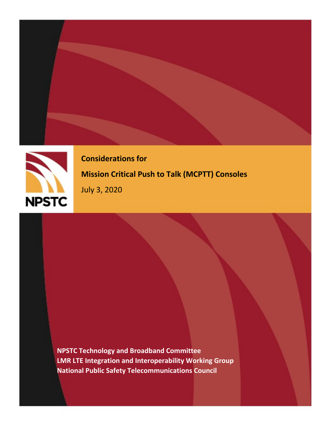



**Considerations for Mission Critical Push to Talk (MCPTT) Consoles**

July 3, 2020

**NPSTC Technology and Broadband Committee LMR LTE Integration and Interoperability Working Group National Public Safety Telecommunications Council**

MCPTT Console Systems Requirements Update Report: 1/6/2020 *Draft Version – Not For Distribution Beyond Working Group*

A NPSTC Public Safety Communications Report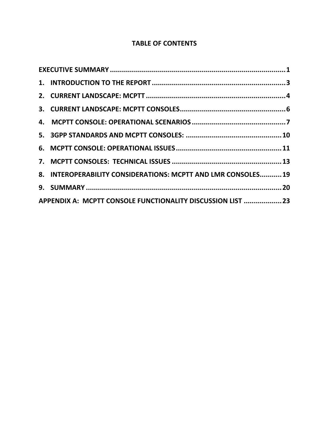# **TABLE OF CONTENTS**

|  | 8. INTEROPERABILITY CONSIDERATIONS: MCPTT AND LMR CONSOLES 19 |  |  |
|--|---------------------------------------------------------------|--|--|
|  |                                                               |  |  |
|  | APPENDIX A: MCPTT CONSOLE FUNCTIONALITY DISCUSSION LIST  23   |  |  |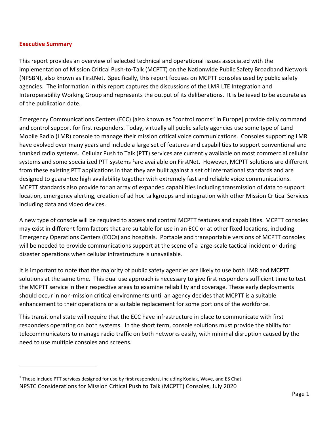#### <span id="page-2-0"></span>**Executive Summary**

This report provides an overview of selected technical and operational issues associated with the implementation of Mission Critical Push-to-Talk (MCPTT) on the Nationwide Public Safety Broadband Network (NPSBN), also known as FirstNet. Specifically, this report focuses on MCPTT consoles used by public safety agencies. The information in this report captures the discussions of the LMR LTE Integration and Interoperability Working Group and represents the output of its deliberations. It is believed to be accurate as of the publication date.

Emergency Communications Centers (ECC) [also known as "control rooms" in Europe] provide daily command and control support for first responders. Today, virtually all public safety agencies use some type of Land Mobile Radio (LMR) console to manage their mission critical voice communications. Consoles supporting LMR have evolved over many years and include a large set of features and capabilities to support conventional and trunked radio systems. Cellular Push to Talk (PTT) services are currently available on most commercial cellular systems and some specialized PTT systems <sup>1</sup>are available on FirstNet. However, MCPTT solutions are different from these existing PTT applications in that they are built against a set of international standards and are designed to guarantee high availability together with extremely fast and reliable voice communications. MCPTT standards also provide for an array of expanded capabilities including transmission of data to support location, emergency alerting, creation of ad hoc talkgroups and integration with other Mission Critical Services including data and video devices.

A new type of console will be required to access and control MCPTT features and capabilities. MCPTT consoles may exist in different form factors that are suitable for use in an ECC or at other fixed locations, including Emergency Operations Centers (EOCs) and hospitals. Portable and transportable versions of MCPTT consoles will be needed to provide communications support at the scene of a large-scale tactical incident or during disaster operations when cellular infrastructure is unavailable.

It is important to note that the majority of public safety agencies are likely to use both LMR and MCPTT solutions at the same time. This dual use approach is necessary to give first responders sufficient time to test the MCPTT service in their respective areas to examine reliability and coverage. These early deployments should occur in non-mission critical environments until an agency decides that MCPTT is a suitable enhancement to their operations or a suitable replacement for some portions of the workforce.

This transitional state will require that the ECC have infrastructure in place to communicate with first responders operating on both systems. In the short term, console solutions must provide the ability for telecommunicators to manage radio traffic on both networks easily, with minimal disruption caused by the need to use multiple consoles and screens.

<span id="page-2-1"></span>NPSTC Considerations for Mission Critical Push to Talk (MCPTT) Consoles, July 2020  $1$  These include PTT services designed for use by first responders, including Kodiak, Wave, and ES Chat.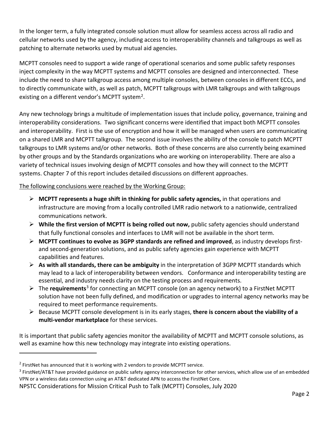In the longer term, a fully integrated console solution must allow for seamless access across all radio and cellular networks used by the agency, including access to interoperability channels and talkgroups as well as patching to alternate networks used by mutual aid agencies.

MCPTT consoles need to support a wide range of operational scenarios and some public safety responses inject complexity in the way MCPTT systems and MCPTT consoles are designed and interconnected. These include the need to share talkgroup access among multiple consoles, between consoles in different ECCs, and to directly communicate with, as well as patch, MCPTT talkgroups with LMR talkgroups and with talkgroups existing on a different vendor's MCPTT system<sup>2</sup>.

Any new technology brings a multitude of implementation issues that include policy, governance, training and interoperability considerations. Two significant concerns were identified that impact both MCPTT consoles and interoperability. First is the use of encryption and how it will be managed when users are communicating on a shared LMR and MCPTT talkgroup. The second issue involves the ability of the console to patch MCPTT talkgroups to LMR systems and/or other networks. Both of these concerns are also currently being examined by other groups and by the Standards organizations who are working on interoperability. There are also a variety of technical issues involving design of MCPTT consoles and how they will connect to the MCPTT systems. Chapter 7 of this report includes detailed discussions on different approaches.

The following conclusions were reached by the Working Group:

- **MCPTT represents a huge shift in thinking for public safety agencies,** in that operations and infrastructure are moving from a locally controlled LMR radio network to a nationwide, centralized communications network.
- **While the first version of MCPTT is being rolled out now,** public safety agencies should understand that fully functional consoles and interfaces to LMR will not be available in the short term.
- **MCPTT continues to evolve as 3GPP standards are refined and improved**, as industry develops firstand second-generation solutions, and as public safety agencies gain experience with MCPTT capabilities and features.
- **As with all standards, there can be ambiguity** in the interpretation of 3GPP MCPTT standards which may lead to a lack of interoperability between vendors. Conformance and interoperability testing are essential, and industry needs clarity on the testing process and requirements.
- The **requirements**[3](#page-3-1) for connecting an MCPTT console (on an agency network) to a FirstNet MCPTT solution have not been fully defined, and modification or upgrades to internal agency networks may be required to meet performance requirements.
- Because MCPTT console development is in its early stages, **there is concern about the viability of a multi-vendor marketplace** for these services.

It is important that public safety agencies monitor the availability of MCPTT and MCPTT console solutions, as well as examine how this new technology may integrate into existing operations.

<span id="page-3-0"></span><sup>&</sup>lt;sup>2</sup> FirstNet has announced that it is working with 2 vendors to provide MCPTT service.

<span id="page-3-1"></span><sup>&</sup>lt;sup>3</sup> FirstNet/AT&T have provided guidance on public safety agency interconnection for other services, which allow use of an embedded VPN or a wireless data connection using an AT&T dedicated APN to access the FirstNet Core.

NPSTC Considerations for Mission Critical Push to Talk (MCPTT) Consoles, July 2020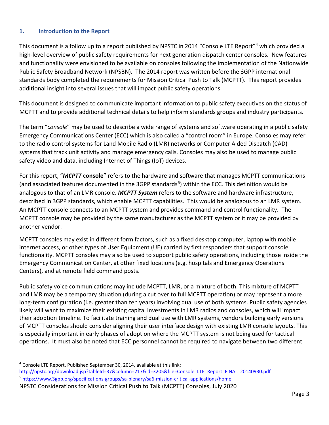### <span id="page-4-0"></span>**1. Introduction to the Report**

This document is a follow up to a report published by NPSTC in 2014 "Console LTE Report"[4](#page-4-1) which provided a high-level overview of public safety requirements for next generation dispatch center consoles. New features and functionality were envisioned to be available on consoles following the implementation of the Nationwide Public Safety Broadband Network (NPSBN). The 2014 report was written before the 3GPP international standards body completed the requirements for Mission Critical Push to Talk (MCPTT). This report provides additional insight into several issues that will impact public safety operations.

This document is designed to communicate important information to public safety executives on the status of MCPTT and to provide additional technical details to help inform standards groups and industry participants.

The term "*console*" may be used to describe a wide range of systems and software operating in a public safety Emergency Communications Center (ECC) which is also called a "control room" in Europe. Consoles may refer to the radio control systems for Land Mobile Radio (LMR) networks or Computer Aided Dispatch (CAD) systems that track unit activity and manage emergency calls. Consoles may also be used to manage public safety video and data, including Internet of Things (IoT) devices.

For this report, "*MCPTT* **console**" refers to the hardware and software that manages MCPTT communications (and associated features documented in the 3GPP standards<sup>5</sup>) within the ECC. This definition would be analogous to that of an LMR console. *MCPTT System* refers to the software and hardware infrastructure, described in 3GPP standards, which enable MCPTT capabilities. This would be analogous to an LMR system. An MCPTT console connects to an MCPTT system and provides command and control functionality. The MCPTT console may be provided by the same manufacturer as the MCPTT system or it may be provided by another vendor.

MCPTT consoles may exist in different form factors, such as a fixed desktop computer, laptop with mobile internet access, or other types of User Equipment (UE) carried by first responders that support console functionality. MCPTT consoles may also be used to support public safety operations, including those inside the Emergency Communication Center, at other fixed locations (e.g. hospitals and Emergency Operations Centers), and at remote field command posts.

Public safety voice communications may include MCPTT, LMR, or a mixture of both. This mixture of MCPTT and LMR may be a temporary situation (during a cut over to full MCPTT operation) or may represent a more long-term configuration (i.e. greater than ten years) involving dual use of both systems. Public safety agencies likely will want to maximize their existing capital investments in LMR radios and consoles, which will impact their adoption timeline. To facilitate training and dual use with LMR systems, vendors building early versions of MCPTT consoles should consider aligning their user interface design with existing LMR console layouts. This is especially important in early phases of adoption where the MCPTT system is not being used for tactical operations. It must also be noted that ECC personnel cannot be required to navigate between two different

<span id="page-4-1"></span><sup>4</sup> Console LTE Report, Published September 30, 2014, available at this link:

<span id="page-4-2"></span>[http://npstc.org/download.jsp?tableId=37&column=217&id=3205&file=Console\\_LTE\\_Report\\_FINAL\\_20140930.pdf](http://npstc.org/download.jsp?tableId=37&column=217&id=3205&file=Console_LTE_Report_FINAL_20140930.pdf) 5 <https://www.3gpp.org/specifications-groups/sa-plenary/sa6-mission-critical-applications/home>

NPSTC Considerations for Mission Critical Push to Talk (MCPTT) Consoles, July 2020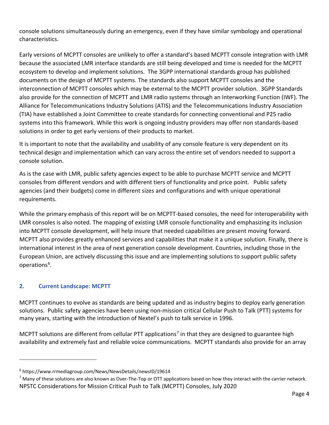console solutions simultaneously during an emergency, even if they have similar symbology and operational characteristics.

Early versions of MCPTT consoles are unlikely to offer a standard's based MCPTT console integration with LMR because the associated LMR interface standards are still being developed and time is needed for the MCPTT ecosystem to develop and implement solutions. The 3GPP international standards group has published documents on the design of MCPTT systems. The standards also support MCPTT consoles and the interconnection of MCPTT consoles which may be external to the MCPTT provider solution. 3GPP Standards also provide for the connection of MCPTT and LMR radio systems through an Interworking Function (IWF). The Alliance for Telecommunications Industry Solutions (ATIS) and the Telecommunications Industry Association (TIA) have established a Joint Committee to create standards for connecting conventional and P25 radio systems into this framework. While this work is ongoing industry providers may offer non standards-based solutions in order to get early versions of their products to market.

It is important to note that the availability and usability of any console feature is very dependent on its technical design and implementation which can vary across the entire set of vendors needed to support a console solution.

As is the case with LMR, public safety agencies expect to be able to purchase MCPTT service and MCPTT consoles from different vendors and with different tiers of functionality and price point. Public safety agencies (and their budgets) come in different sizes and configurations and with unique operational requirements.

While the primary emphasis of this report will be on MCPTT-based consoles, the need for interoperability with LMR consoles is also noted. The mapping of existing LMR console functionality and emphasizing its inclusion into MCPTT console development, will help insure that needed capabilities are present moving forward. MCPTT also provides greatly enhanced services and capabilities that make it a unique solution. Finally, there is international interest in the area of next generation console development. Countries, including those in the European Union, are actively discussing this issue and are implementing solutions to support public safety operations<sup>[6](#page-5-1)</sup>.

### <span id="page-5-0"></span>**2. Current Landscape: MCPTT**

MCPTT continues to evolve as standards are being updated and as industry begins to deploy early generation solutions. Public safety agencies have been using non-mission critical Cellular Push to Talk (PTT) systems for many years, starting with the introduction of Nextel's push to talk service in 1996.

MCPTT solutions are different from cellular PTT applications<sup>[7](#page-5-2)</sup> in that they are designed to guarantee high availability and extremely fast and reliable voice communications. MCPTT standards also provide for an array

<span id="page-5-1"></span><sup>6</sup> https://www.rrmediagroup.com/News/NewsDetails/newsID/19614

<span id="page-5-2"></span>NPSTC Considerations for Mission Critical Push to Talk (MCPTT) Consoles, July 2020  $<sup>7</sup>$  Many of these solutions are also known as Over-The-Top or OTT applications based on how they interact with the carrier network.</sup>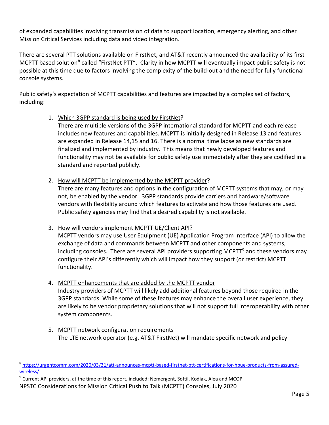of expanded capabilities involving transmission of data to support location, emergency alerting, and other Mission Critical Services including data and video integration.

There are several PTT solutions available on FirstNet, and AT&T recently announced the availability of its first MCPTT based solution<sup>[8](#page-6-0)</sup> called "FirstNet PTT". Clarity in how MCPTT will eventually impact public safety is not possible at this time due to factors involving the complexity of the build-out and the need for fully functional console systems.

Public safety's expectation of MCPTT capabilities and features are impacted by a complex set of factors, including:

1. Which 3GPP standard is being used by FirstNet?

There are multiple versions of the 3GPP international standard for MCPTT and each release includes new features and capabilities. MCPTT is initially designed in Release 13 and features are expanded in Release 14,15 and 16. There is a normal time lapse as new standards are finalized and implemented by industry. This means that newly developed features and functionality may not be available for public safety use immediately after they are codified in a standard and reported publicly.

2. How will MCPTT be implemented by the MCPTT provider?

There are many features and options in the configuration of MCPTT systems that may, or may not, be enabled by the vendor. 3GPP standards provide carriers and hardware/software vendors with flexibility around which features to activate and how those features are used. Public safety agencies may find that a desired capability is not available.

3. How will vendors implement MCPTT UE/Client API?

MCPTT vendors may use User Equipment (UE) Application Program Interface (API) to allow the exchange of data and commands between MCPTT and other components and systems, including consoles. There are several API providers supporting MCPTT<sup>[9](#page-6-1)</sup> and these vendors may configure their API's differently which will impact how they support (or restrict) MCPTT functionality.

4. MCPTT enhancements that are added by the MCPTT vendor

Industry providers of MCPTT will likely add additional features beyond those required in the 3GPP standards. While some of these features may enhance the overall user experience, they are likely to be vendor proprietary solutions that will not support full interoperability with other system components.

5. MCPTT network configuration requirements The LTE network operator (e.g. AT&T FirstNet) will mandate specific network and policy

<span id="page-6-0"></span><sup>8</sup> [https://urgentcomm.com/2020/03/31/att-announces-mcptt-based-firstnet-ptt-certifications-for-hpue-products-from-assured](https://urgentcomm.com/2020/03/31/att-announces-mcptt-based-firstnet-ptt-certifications-for-hpue-products-from-assured-wireless/)[wireless/](https://urgentcomm.com/2020/03/31/att-announces-mcptt-based-firstnet-ptt-certifications-for-hpue-products-from-assured-wireless/)

<span id="page-6-1"></span>NPSTC Considerations for Mission Critical Push to Talk (MCPTT) Consoles, July 2020 <sup>9</sup> Current API providers, at the time of this report, included: Nemergent, Softil, Kodiak, Alea and MCOP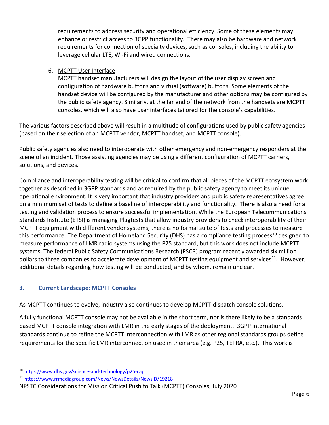requirements to address security and operational efficiency. Some of these elements may enhance or restrict access to 3GPP functionality. There may also be hardware and network requirements for connection of specialty devices, such as consoles, including the ability to leverage cellular LTE, Wi-Fi and wired connections.

### 6. MCPTT User Interface

MCPTT handset manufacturers will design the layout of the user display screen and configuration of hardware buttons and virtual (software) buttons. Some elements of the handset device will be configured by the manufacturer and other options may be configured by the public safety agency. Similarly, at the far end of the network from the handsets are MCPTT consoles, which will also have user interfaces tailored for the console's capabilities.

The various factors described above will result in a multitude of configurations used by public safety agencies (based on their selection of an MCPTT vendor, MCPTT handset, and MCPTT console).

Public safety agencies also need to interoperate with other emergency and non-emergency responders at the scene of an incident. Those assisting agencies may be using a different configuration of MCPTT carriers, solutions, and devices.

Compliance and interoperability testing will be critical to confirm that all pieces of the MCPTT ecosystem work together as described in 3GPP standards and as required by the public safety agency to meet its unique operational environment. It is very important that industry providers and public safety representatives agree on a minimum set of tests to define a baseline of interoperability and functionality. There is also a need for a testing and validation process to ensure successful implementation. While the European Telecommunications Standards Institute (ETSI) is managing Plugtests that allow industry providers to check interoperability of their MCPTT equipment with different vendor systems, there is no formal suite of tests and processes to measure this performance. The Department of Homeland Security (DHS) has a compliance testing process<sup>[10](#page-7-1)</sup> designed to measure performance of LMR radio systems using the P25 standard, but this work does not include MCPTT systems. The federal Public Safety Communications Research (PSCR) program recently awarded six million dollars to three companies to accelerate development of MCPTT testing equipment and services<sup>11</sup>. However, additional details regarding how testing will be conducted, and by whom, remain unclear.

#### <span id="page-7-0"></span>**3. Current Landscape: MCPTT Consoles**

As MCPTT continues to evolve, industry also continues to develop MCPTT dispatch console solutions.

A fully functional MCPTT console may not be available in the short term, nor is there likely to be a standards based MCPTT console integration with LMR in the early stages of the deployment. 3GPP international standards continue to refine the MCPTT interconnection with LMR as other regional standards groups define requirements for the specific LMR interconnection used in their area (e.g. P25, TETRA, etc.). This work is

<span id="page-7-1"></span><sup>10</sup> <https://www.dhs.gov/science-and-technology/p25-cap>

<span id="page-7-2"></span><sup>11</sup> <https://www.rrmediagroup.com/News/NewsDetails/NewsID/19218>

NPSTC Considerations for Mission Critical Push to Talk (MCPTT) Consoles, July 2020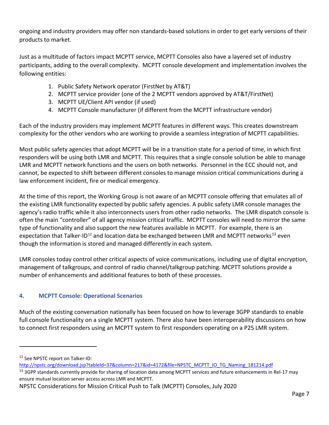ongoing and industry providers may offer non standards-based solutions in order to get early versions of their products to market.

Just as a multitude of factors impact MCPTT service, MCPTT Consoles also have a layered set of industry participants, adding to the overall complexity. MCPTT console development and implementation involves the following entities:

- 1. Public Safety Network operator (FirstNet by AT&T)
- 2. MCPTT service provider (one of the 2 MCPTT vendors approved by AT&T/FirstNet)
- 3. MCPTT UE/Client API vendor (if used)
- 4. MCPTT Console manufacturer (if different from the MCPTT infrastructure vendor)

Each of the industry providers may implement MCPTT features in different ways. This creates downstream complexity for the other vendors who are working to provide a seamless integration of MCPTT capabilities.

Most public safety agencies that adopt MCPTT will be in a transition state for a period of time, in which first responders will be using both LMR and MCPTT. This requires that a single console solution be able to manage LMR and MCPTT network functions and the users on both networks. Personnel in the ECC should not, and cannot, be expected to shift between different consoles to manage mission critical communications during a law enforcement incident, fire or medical emergency.

At the time of this report, the Working Group is not aware of an MCPTT console offering that emulates all of the existing LMR functionality expected by public safety agencies. A public safety LMR console manages the agency's radio traffic while it also interconnects users from other radio networks. The LMR dispatch console is often the main "controller" of all agency mission critical traffic. MCPTT consoles will need to mirror the same type of functionality and also support the new features available in MCPTT. For example, there is an expectation that Talker-ID<sup>[12](#page-8-1)</sup> and location data be exchanged between LMR and MCPTT networks<sup>[13](#page-8-2)</sup> even though the information is stored and managed differently in each system.

LMR consoles today control other critical aspects of voice communications, including use of digital encryption, management of talkgroups, and control of radio channel/talkgroup patching. MCPTT solutions provide a number of enhancements and additional features to both of these processes.

## <span id="page-8-0"></span>**4. MCPTT Console: Operational Scenarios**

Much of the existing conversation nationally has been focused on how to leverage 3GPP standards to enable full console functionality on a single MCPTT system. There also have been interoperability discussions on how to connect first responders using an MCPTT system to first responders operating on a P25 LMR system.

<span id="page-8-1"></span><sup>&</sup>lt;sup>12</sup> See NPSTC report on Talker-ID:

[http://npstc.org/download.jsp?tableId=37&column=217&id=4172&file=NPSTC\\_MCPTT\\_IO\\_TG\\_Naming\\_181214.pdf](http://npstc.org/download.jsp?tableId=37&column=217&id=4172&file=NPSTC_MCPTT_IO_TG_Naming_181214.pdf)

<span id="page-8-2"></span><sup>&</sup>lt;sup>13</sup> 3GPP standards currently provide for sharing of location data among MCPTT services and future enhancements in Rel-17 may ensure mutual location server access across LMR and MCPTT.

NPSTC Considerations for Mission Critical Push to Talk (MCPTT) Consoles, July 2020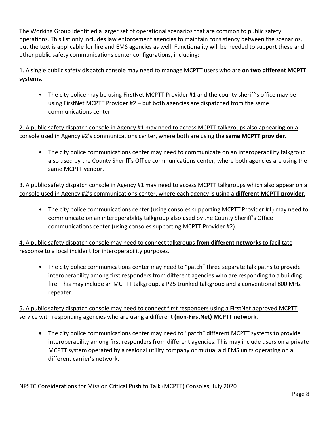The Working Group identified a larger set of operational scenarios that are common to public safety operations. This list only includes law enforcement agencies to maintain consistency between the scenarios, but the text is applicable for fire and EMS agencies as well. Functionality will be needed to support these and other public safety communications center configurations, including:

## 1. A single public safety dispatch console may need to manage MCPTT users who are **on two different MCPTT systems.**

• The city police may be using FirstNet MCPTT Provider #1 and the county sheriff's office may be using FirstNet MCPTT Provider #2 – but both agencies are dispatched from the same communications center.

### 2. A public safety dispatch console in Agency #1 may need to access MCPTT talkgroups also appearing on a console used in Agency #2's communications center, where both are using the **same MCPTT provider**.

• The city police communications center may need to communicate on an interoperability talkgroup also used by the County Sheriff's Office communications center, where both agencies are using the same MCPTT vendor.

3. A public safety dispatch console in Agency #1 may need to access MCPTT talkgroups which also appear on a console used in Agency #2's communications center, where each agency is using a **different MCPTT provider**.

• The city police communications center (using consoles supporting MCPTT Provider #1) may need to communicate on an interoperability talkgroup also used by the County Sheriff's Office communications center (using consoles supporting MCPTT Provider #2).

4. A public safety dispatch console may need to connect talkgroups **from different networks** to facilitate response to a local incident for interoperability purposes**.**

• The city police communications center may need to "patch" three separate talk paths to provide interoperability among first responders from different agencies who are responding to a building fire. This may include an MCPTT talkgroup, a P25 trunked talkgroup and a conventional 800 MHz repeater.

5. A public safety dispatch console may need to connect first responders using a FirstNet approved MCPTT service with responding agencies who are using a different **(non-FirstNet) MCPTT network**.

• The city police communications center may need to "patch" different MCPTT systems to provide interoperability among first responders from different agencies. This may include users on a private MCPTT system operated by a regional utility company or mutual aid EMS units operating on a different carrier's network.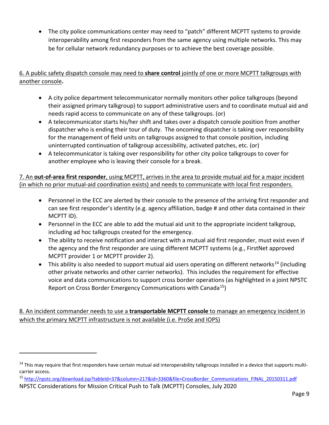• The city police communications center may need to "patch" different MCPTT systems to provide interoperability among first responders from the same agency using multiple networks. This may be for cellular network redundancy purposes or to achieve the best coverage possible.

## 6. A public safety dispatch console may need to **share control** jointly of one or more MCPTT talkgroups with another console**.**

- A city police department telecommunicator normally monitors other police talkgroups (beyond their assigned primary talkgroup) to support administrative users and to coordinate mutual aid and needs rapid access to communicate on any of these talkgroups. (or)
- A telecommunicator starts his/her shift and takes over a dispatch console position from another dispatcher who is ending their tour of duty. The oncoming dispatcher is taking over responsibility for the management of field units on talkgroups assigned to that console position, including uninterrupted continuation of talkgroup accessibility, activated patches, etc. (or)
- A telecommunicator is taking over responsibility for other city police talkgroups to cover for another employee who is leaving their console for a break.

7. An **out-of-area first responder**, using MCPTT, arrives in the area to provide mutual aid for a major incident (in which no prior mutual-aid coordination exists) and needs to communicate with local first responders.

- Personnel in the ECC are alerted by their console to the presence of the arriving first responder and can see first responder's identity (e.g. agency affiliation, badge # and other data contained in their MCPTT ID).
- Personnel in the ECC are able to add the mutual aid unit to the appropriate incident talkgroup, including ad hoc talkgroups created for the emergency.
- The ability to receive notification and interact with a mutual aid first responder, must exist even if the agency and the first responder are using different MCPTT systems (e.g., FirstNet approved MCPTT provider 1 or MCPTT provider 2).
- This ability is also needed to support mutual aid users operating on different networks<sup>[14](#page-10-0)</sup> (including other private networks and other carrier networks). This includes the requirement for effective voice and data communications to support cross border operations (as highlighted in a joint NPSTC Report on Cross Border Emergency Communications with Canada<sup>[15](#page-10-1)</sup>)

8. An incident commander needs to use a **transportable MCPTT console** to manage an emergency incident in which the primary MCPTT infrastructure is not available (i.e. ProSe and IOPS)

<span id="page-10-0"></span><sup>&</sup>lt;sup>14</sup> This may require that first responders have certain mutual aid interoperability talkgroups installed in a device that supports multicarrier access.

<span id="page-10-1"></span>NPSTC Considerations for Mission Critical Push to Talk (MCPTT) Consoles, July 2020 15 [http://npstc.org/download.jsp?tableId=37&column=217&id=3360&file=CrossBorder\\_Communications\\_FINAL\\_20150311.pdf](http://npstc.org/download.jsp?tableId=37&column=217&id=3360&file=CrossBorder_Communications_FINAL_20150311.pdf)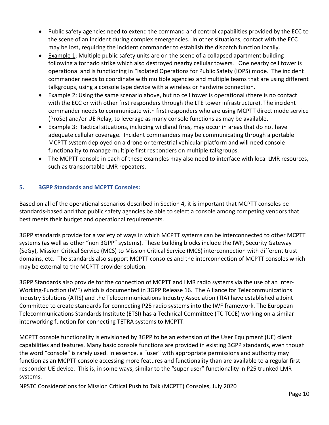- Public safety agencies need to extend the command and control capabilities provided by the ECC to the scene of an incident during complex emergencies. In other situations, contact with the ECC may be lost, requiring the incident commander to establish the dispatch function locally.
- Example 1: Multiple public safety units are on the scene of a collapsed apartment building following a tornado strike which also destroyed nearby cellular towers. One nearby cell tower is operational and is functioning in "Isolated Operations for Public Safety (IOPS) mode. The incident commander needs to coordinate with multiple agencies and multiple teams that are using different talkgroups, using a console type device with a wireless or hardwire connection.
- Example 2: Using the same scenario above, but no cell tower is operational (there is no contact with the ECC or with other first responders through the LTE tower infrastructure). The incident commander needs to communicate with first responders who are using MCPTT direct mode service (ProSe) and/or UE Relay, to leverage as many console functions as may be available.
- Example 3: Tactical situations, including wildland fires, may occur in areas that do not have adequate cellular coverage. Incident commanders may be communicating through a portable MCPTT system deployed on a drone or terrestrial vehicular platform and will need console functionality to manage multiple first responders on multiple talkgroups.
- The MCPTT console in each of these examples may also need to interface with local LMR resources, such as transportable LMR repeaters.

### <span id="page-11-0"></span>**5. 3GPP Standards and MCPTT Consoles:**

Based on all of the operational scenarios described in Section 4, it is important that MCPTT consoles be standards-based and that public safety agencies be able to select a console among competing vendors that best meets their budget and operational requirements.

3GPP standards provide for a variety of ways in which MCPTT systems can be interconnected to other MCPTT systems (as well as other "non 3GPP" systems). These building blocks include the IWF, Security Gateway (SeGy), Mission Critical Service (MCS) to Mission Critical Service (MCS) interconnection with different trust domains, etc. The standards also support MCPTT consoles and the interconnection of MCPTT consoles which may be external to the MCPTT provider solution.

3GPP Standards also provide for the connection of MCPTT and LMR radio systems via the use of an Inter-Working-Function (IWF) which is documented in 3GPP Release 16. The Alliance for Telecommunications Industry Solutions (ATIS) and the Telecommunications Industry Association (TIA) have established a Joint Committee to create standards for connecting P25 radio systems into the IWF framework. The European Telecommunications Standards Institute (ETSI) has a Technical Committee (TC TCCE) working on a similar interworking function for connecting TETRA systems to MCPTT.

MCPTT console functionality is envisioned by 3GPP to be an extension of the User Equipment (UE) client capabilities and features. Many basic console functions are provided in existing 3GPP standards, even though the word "console" is rarely used. In essence, a "user" with appropriate permissions and authority may function as an MCPTT console accessing more features and functionality than are available to a regular first responder UE device. This is, in some ways, similar to the "super user" functionality in P25 trunked LMR systems.

NPSTC Considerations for Mission Critical Push to Talk (MCPTT) Consoles, July 2020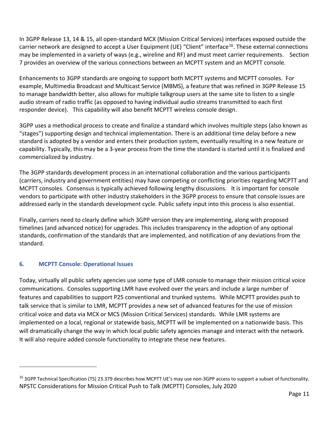In 3GPP Release 13, 14 & 15, all open-standard MCX (Mission Critical Services) interfaces exposed outside the carrier network are designed to accept a User Equipment (UE) "Client" interface<sup>[16](#page-12-1)</sup>. These external connections may be implemented in a variety of ways (e.g., wireline and RF) and must meet carrier requirements. Section 7 provides an overview of the various connections between an MCPTT system and an MCPTT console.

Enhancements to 3GPP standards are ongoing to support both MCPTT systems and MCPTT consoles. For example, Multimedia Broadcast and Multicast Service (MBMS), a feature that was refined in 3GPP Release 15 to manage bandwidth better, also allows for multiple talkgroup users at the same site to listen to a single audio stream of radio traffic (as opposed to having individual audio streams transmitted to each first responder device). This capability will also benefit MCPTT wireless console design.

3GPP uses a methodical process to create and finalize a standard which involves multiple steps (also known as "stages") supporting design and technical implementation. There is an additional time delay before a new standard is adopted by a vendor and enters their production system, eventually resulting in a new feature or capability. Typically, this may be a 3-year process from the time the standard is started until it is finalized and commercialized by industry.

The 3GPP standards development process in an international collaboration and the various participants (carriers, industry and government entities) may have competing or conflicting priorities regarding MCPTT and MCPTT consoles. Consensus is typically achieved following lengthy discussions. It is important for console vendors to participate with other industry stakeholders in the 3GPP process to ensure that console issues are addressed early in the standards development cycle. Public safety input into this process is also essential.

Finally, carriers need to clearly define which 3GPP version they are implementing, along with proposed timelines (and advanced notice) for upgrades. This includes transparency in the adoption of any optional standards, confirmation of the standards that are implemented, and notification of any deviations from the standard.

### <span id="page-12-0"></span>**6. MCPTT Console: Operational Issues**

Today, virtually all public safety agencies use some type of LMR console to manage their mission critical voice communications. Consoles supporting LMR have evolved over the years and include a large number of features and capabilities to support P25 conventional and trunked systems. While MCPTT provides push to talk service that is similar to LMR, MCPTT provides a new set of advanced features for the use of mission critical voice and data via MCX or MCS (Mission Critical Services) standards. While LMR systems are implemented on a local, regional or statewide basis, MCPTT will be implemented on a nationwide basis. This will dramatically change the way in which local public safety agencies manage and interact with the network. It will also require added console functionality to integrate these new features.

<span id="page-12-1"></span>NPSTC Considerations for Mission Critical Push to Talk (MCPTT) Consoles, July 2020 <sup>16</sup> 3GPP Technical Specification (TS) 23.379 describes how MCPTT UE's may use non-3GPP access to support a subset of functionality.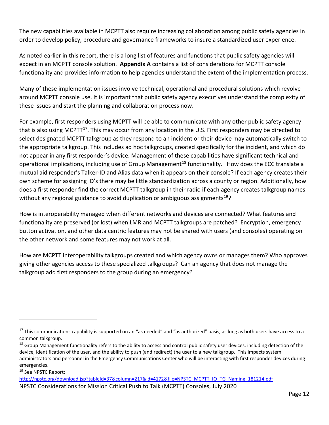The new capabilities available in MCPTT also require increasing collaboration among public safety agencies in order to develop policy, procedure and governance frameworks to insure a standardized user experience.

As noted earlier in this report, there is a long list of features and functions that public safety agencies will expect in an MCPTT console solution. **Appendix A** contains a list of considerations for MCPTT console functionality and provides information to help agencies understand the extent of the implementation process.

Many of these implementation issues involve technical, operational and procedural solutions which revolve around MCPTT console use. It is important that public safety agency executives understand the complexity of these issues and start the planning and collaboration process now.

For example, first responders using MCPTT will be able to communicate with any other public safety agency that is also using MCPTT<sup>17</sup>. This may occur from any location in the U.S. First responders may be directed to select designated MCPTT talkgroup as they respond to an incident or their device may automatically switch to the appropriate talkgroup. This includes ad hoc talkgroups, created specifically for the incident, and which do not appear in any first responder's device. Management of these capabilities have significant technical and operational implications, including use of Group Management<sup>[18](#page-13-1)</sup> functionality. How does the ECC translate a mutual aid responder's Talker-ID and Alias data when it appears on their console? If each agency creates their own scheme for assigning ID's there may be little standardization across a county or region. Additionally, how does a first responder find the correct MCPTT talkgroup in their radio if each agency creates talkgroup names without any regional guidance to avoid duplication or ambiguous assignments<sup>19</sup>?

How is interoperability managed when different networks and devices are connected? What features and functionality are preserved (or lost) when LMR and MCPTT talkgroups are patched? Encryption, emergency button activation, and other data centric features may not be shared with users (and consoles) operating on the other network and some features may not work at all.

How are MCPTT interoperability talkgroups created and which agency owns or manages them? Who approves giving other agencies access to these specialized talkgroups? Can an agency that does not manage the talkgroup add first responders to the group during an emergency?

<span id="page-13-2"></span><sup>19</sup> See NPSTC Report:

<span id="page-13-0"></span><sup>&</sup>lt;sup>17</sup> This communications capability is supported on an "as needed" and "as authorized" basis, as long as both users have access to a common talkgroup.

<span id="page-13-1"></span><sup>&</sup>lt;sup>18</sup> Group Management functionality refers to the ability to access and control public safety user devices, including detection of the device, identification of the user, and the ability to push (and redirect) the user to a new talkgroup. This impacts system administrators and personnel in the Emergency Communications Center who will be interacting with first responder devices during emergencies.

NPSTC Considerations for Mission Critical Push to Talk (MCPTT) Consoles, July 2020 [http://npstc.org/download.jsp?tableId=37&column=217&id=4172&file=NPSTC\\_MCPTT\\_IO\\_TG\\_Naming\\_181214.pdf](http://npstc.org/download.jsp?tableId=37&column=217&id=4172&file=NPSTC_MCPTT_IO_TG_Naming_181214.pdf)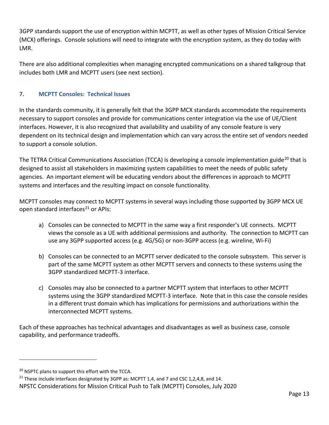3GPP standards support the use of encryption within MCPTT, as well as other types of Mission Critical Service (MCX) offerings. Console solutions will need to integrate with the encryption system, as they do today with LMR.

There are also additional complexities when managing encrypted communications on a shared talkgroup that includes both LMR and MCPTT users (see next section).

### <span id="page-14-0"></span>**7. MCPTT Consoles: Technical Issues**

In the standards community, it is generally felt that the 3GPP MCX standards accommodate the requirements necessary to support consoles and provide for communications center integration via the use of UE/Client interfaces. However, it is also recognized that availability and usability of any console feature is very dependent on its technical design and implementation which can vary across the entire set of vendors needed to support a console solution.

The TETRA Critical Communications Association (TCCA) is developing a console implementation guide<sup>[20](#page-14-1)</sup> that is designed to assist all stakeholders in maximizing system capabilities to meet the needs of public safety agencies. An important element will be educating vendors about the differences in approach to MCPTT systems and interfaces and the resulting impact on console functionality.

MCPTT consoles may connect to MCPTT systems in several ways including those supported by 3GPP MCX UE open standard interfaces<sup>[21](#page-14-2)</sup> or APIs:

- a) Consoles can be connected to MCPTT in the same way a first responder's UE connects. MCPTT views the console as a UE with additional permissions and authority. The connection to MCPTT can use any 3GPP supported access (e.g. 4G/5G) or non-3GPP access (e.g. wireline, Wi-Fi)
- b) Consoles can be connected to an MCPTT server dedicated to the console subsystem. This server is part of the same MCPTT system as other MCPTT servers and connects to these systems using the 3GPP standardized MCPTT-3 interface.
- c) Consoles may also be connected to a partner MCPTT system that interfaces to other MCPTT systems using the 3GPP standardized MCPTT-3 interface. Note that in this case the console resides in a different trust domain which has implications for permissions and authorizations within the interconnected MCPTT systems.

Each of these approaches has technical advantages and disadvantages as well as business case, console capability, and performance tradeoffs.

<span id="page-14-1"></span><sup>&</sup>lt;sup>20</sup> NSPTC plans to support this effort with the TCCA.

<span id="page-14-2"></span><sup>&</sup>lt;sup>21</sup> These include interfaces designated by 3GPP as: MCPTT 1,4, and 7 and CSC 1,2,4,8, and 14.

NPSTC Considerations for Mission Critical Push to Talk (MCPTT) Consoles, July 2020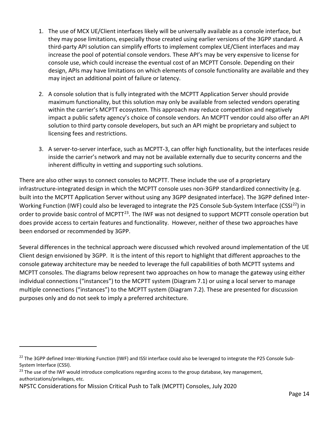- 1. The use of MCX UE/Client interfaces likely will be universally available as a console interface, but they may pose limitations, especially those created using earlier versions of the 3GPP standard. A third-party API solution can simplify efforts to implement complex UE/Client interfaces and may increase the pool of potential console vendors. These API's may be very expensive to license for console use, which could increase the eventual cost of an MCPTT Console. Depending on their design, APIs may have limitations on which elements of console functionality are available and they may inject an additional point of failure or latency.
- 2. A console solution that is fully integrated with the MCPTT Application Server should provide maximum functionality, but this solution may only be available from selected vendors operating within the carrier's MCPTT ecosystem. This approach may reduce competition and negatively impact a public safety agency's choice of console vendors. An MCPTT vendor could also offer an API solution to third party console developers, but such an API might be proprietary and subject to licensing fees and restrictions.
- 3. A server-to-server interface, such as MCPTT-3, can offer high functionality, but the interfaces reside inside the carrier's network and may not be available externally due to security concerns and the inherent difficulty in vetting and supporting such solutions.

There are also other ways to connect consoles to MCPTT. These include the use of a proprietary infrastructure-integrated design in which the MCPTT console uses non-3GPP standardized connectivity (e.g. built into the MCPTT Application Server without using any 3GPP designated interface). The 3GPP defined Inter-Working Function (IWF) could also be leveraged to integrate the P25 Console Sub-System Interface (CSSI<sup>22</sup>) in order to provide basic control of MCPTT<sup>23</sup>. The IWF was not designed to support MCPTT console operation but does provide access to certain features and functionality. However, neither of these two approaches have been endorsed or recommended by 3GPP.

Several differences in the technical approach were discussed which revolved around implementation of the UE Client design envisioned by 3GPP. It is the intent of this report to highlight that different approaches to the console gateway architecture may be needed to leverage the full capabilities of both MCPTT systems and MCPTT consoles. The diagrams below represent two approaches on how to manage the gateway using either individual connections ("instances") to the MCPTT system (Diagram 7.1) or using a local server to manage multiple connections ("instances") to the MCPTT system (Diagram 7.2). These are presented for discussion purposes only and do not seek to imply a preferred architecture.

<span id="page-15-0"></span> $^{22}$  The 3GPP defined Inter-Working Function (IWF) and ISSI interface could also be leveraged to integrate the P25 Console Sub-System Interface (CSSI).

<span id="page-15-1"></span><sup>&</sup>lt;sup>23</sup> The use of the IWF would introduce complications regarding access to the group database, key management, authorizations/privileges, etc.

NPSTC Considerations for Mission Critical Push to Talk (MCPTT) Consoles, July 2020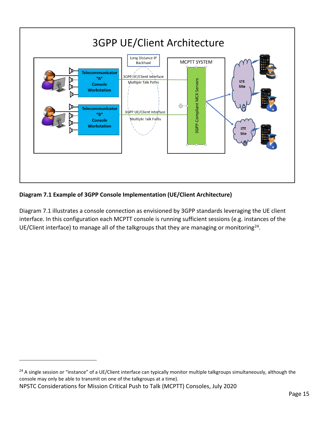

## **Diagram 7.1 Example of 3GPP Console Implementation (UE/Client Architecture)**

Diagram 7.1 illustrates a console connection as envisioned by 3GPP standards leveraging the UE client interface. In this configuration each MCPTT console is running sufficient sessions (e.g. instances of the UE/Client interface) to manage all of the talkgroups that they are managing or monitoring<sup>[24](#page-16-0)</sup>.

<span id="page-16-0"></span><sup>&</sup>lt;sup>24</sup> A single session or "instance" of a UE/Client interface can typically monitor multiple talkgroups simultaneously, although the console may only be able to transmit on one of the talkgroups at a time).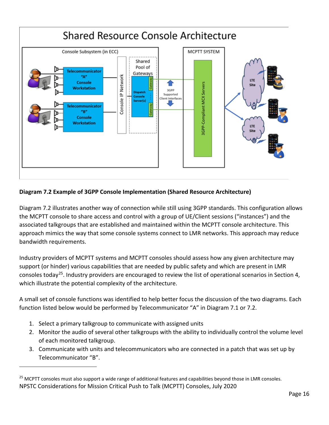

### **Diagram 7.2 Example of 3GPP Console Implementation (Shared Resource Architecture)**

Diagram 7.2 illustrates another way of connection while still using 3GPP standards. This configuration allows the MCPTT console to share access and control with a group of UE/Client sessions ("instances") and the associated talkgroups that are established and maintained within the MCPTT console architecture. This approach mimics the way that some console systems connect to LMR networks. This approach may reduce bandwidth requirements.

Industry providers of MCPTT systems and MCPTT consoles should assess how any given architecture may support (or hinder) various capabilities that are needed by public safety and which are present in LMR consoles today<sup>[25](#page-17-0)</sup>. Industry providers are encouraged to review the list of operational scenarios in Section 4, which illustrate the potential complexity of the architecture.

A small set of console functions was identified to help better focus the discussion of the two diagrams. Each function listed below would be performed by Telecommunicator "A" in Diagram 7.1 or 7.2.

- 1. Select a primary talkgroup to communicate with assigned units
- 2. Monitor the audio of several other talkgroups with the ability to individually control the volume level of each monitored talkgroup.
- 3. Communicate with units and telecommunicators who are connected in a patch that was set up by Telecommunicator "B".

<span id="page-17-0"></span>NPSTC Considerations for Mission Critical Push to Talk (MCPTT) Consoles, July 2020 <sup>25</sup> MCPTT consoles must also support a wide range of additional features and capabilities beyond those in LMR consoles.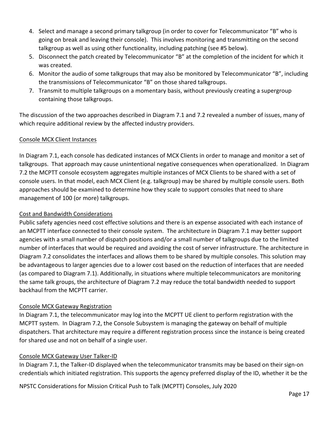- 4. Select and manage a second primary talkgroup (in order to cover for Telecommunicator "B" who is going on break and leaving their console). This involves monitoring and transmitting on the second talkgroup as well as using other functionality, including patching (see #5 below).
- 5. Disconnect the patch created by Telecommunicator "B" at the completion of the incident for which it was created.
- 6. Monitor the audio of some talkgroups that may also be monitored by Telecommunicator "B", including the transmissions of Telecommunicator "B" on those shared talkgroups.
- 7. Transmit to multiple talkgroups on a momentary basis, without previously creating a supergroup containing those talkgroups.

The discussion of the two approaches described in Diagram 7.1 and 7.2 revealed a number of issues, many of which require additional review by the affected industry providers.

### Console MCX Client Instances

In Diagram 7.1, each console has dedicated instances of MCX Clients in order to manage and monitor a set of talkgroups. That approach may cause unintentional negative consequences when operationalized. In Diagram 7.2 the MCPTT console ecosystem aggregates multiple instances of MCX Clients to be shared with a set of console users. In that model, each MCX Client (e.g. talkgroup) may be shared by multiple console users. Both approaches should be examined to determine how they scale to support consoles that need to share management of 100 (or more) talkgroups.

#### Cost and Bandwidth Considerations

Public safety agencies need cost effective solutions and there is an expense associated with each instance of an MCPTT interface connected to their console system. The architecture in Diagram 7.1 may better support agencies with a small number of dispatch positions and/or a small number of talkgroups due to the limited number of interfaces that would be required and avoiding the cost of server infrastructure. The architecture in Diagram 7.2 consolidates the interfaces and allows them to be shared by multiple consoles. This solution may be advantageous to larger agencies due to a lower cost based on the reduction of interfaces that are needed (as compared to Diagram 7.1). Additionally, in situations where multiple telecommunicators are monitoring the same talk groups, the architecture of Diagram 7.2 may reduce the total bandwidth needed to support backhaul from the MCPTT carrier.

#### Console MCX Gateway Registration

In Diagram 7.1, the telecommunicator may log into the MCPTT UE client to perform registration with the MCPTT system. In Diagram 7.2, the Console Subsystem is managing the gateway on behalf of multiple dispatchers. That architecture may require a different registration process since the instance is being created for shared use and not on behalf of a single user.

#### Console MCX Gateway User Talker-ID

In Diagram 7.1, the Talker-ID displayed when the telecommunicator transmits may be based on their sign-on credentials which initiated registration. This supports the agency preferred display of the ID, whether it be the

NPSTC Considerations for Mission Critical Push to Talk (MCPTT) Consoles, July 2020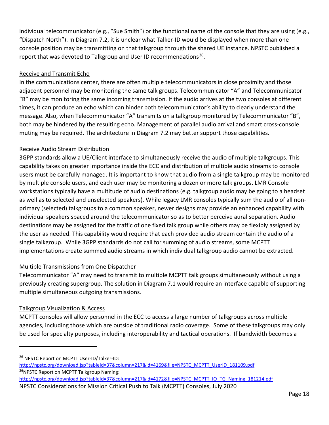individual telecommunicator (e.g., "Sue Smith") or the functional name of the console that they are using (e.g., "Dispatch North"). In Diagram 7.2, it is unclear what Talker-ID would be displayed when more than one console position may be transmitting on that talkgroup through the shared UE instance. NPSTC published a report that was devoted to Talkgroup and User ID recommendations<sup>26</sup>.

### Receive and Transmit Echo

In the communications center, there are often multiple telecommunicators in close proximity and those adjacent personnel may be monitoring the same talk groups. Telecommunicator "A" and Telecommunicator "B" may be monitoring the same incoming transmission. If the audio arrives at the two consoles at different times, it can produce an echo which can hinder both telecommunicator's ability to clearly understand the message. Also, when Telecommunicator "A" transmits on a talkgroup monitored by Telecommunicator "B", both may be hindered by the resulting echo. Management of parallel audio arrival and smart cross-console muting may be required. The architecture in Diagram 7.2 may better support those capabilities.

### Receive Audio Stream Distribution

3GPP standards allow a UE/Client interface to simultaneously receive the audio of multiple talkgroups. This capability takes on greater importance inside the ECC and distribution of multiple audio streams to console users must be carefully managed. It is important to know that audio from a single talkgroup may be monitored by multiple console users, and each user may be monitoring a dozen or more talk groups. LMR Console workstations typically have a multitude of audio destinations (e.g. talkgroup audio may be going to a headset as well as to selected and unselected speakers). While legacy LMR consoles typically sum the audio of all nonprimary (selected) talkgroups to a common speaker, newer designs may provide an enhanced capability with individual speakers spaced around the telecommunicator so as to better perceive aural separation. Audio destinations may be assigned for the traffic of one fixed talk group while others may be flexibly assigned by the user as needed. This capability would require that each provided audio stream contain the audio of a single talkgroup. While 3GPP standards do not call for summing of audio streams, some MCPTT implementations create summed audio streams in which individual talkgroup audio cannot be extracted.

#### Multiple Transmissions from One Dispatcher

Telecommunicator "A" may need to transmit to multiple MCPTT talk groups simultaneously without using a previously creating supergroup. The solution in Diagram 7.1 would require an interface capable of supporting multiple simultaneous outgoing transmissions.

### Talkgroup Visualization & Access

MCPTT consoles will allow personnel in the ECC to access a large number of talkgroups across multiple agencies, including those which are outside of traditional radio coverage. Some of these talkgroups may only be used for specialty purposes, including interoperability and tactical operations. If bandwidth becomes a

- [http://npstc.org/download.jsp?tableId=37&column=217&id=4169&file=NPSTC\\_MCPTT\\_UserID\\_181109.pdf](http://npstc.org/download.jsp?tableId=37&column=217&id=4169&file=NPSTC_MCPTT_UserID_181109.pdf) <sup>26</sup>NPSTC Report on MCPTT Talkgroup Naming:
- NPSTC Considerations for Mission Critical Push to Talk (MCPTT) Consoles, July 2020 [http://npstc.org/download.jsp?tableId=37&column=217&id=4172&file=NPSTC\\_MCPTT\\_IO\\_TG\\_Naming\\_181214.pdf](http://npstc.org/download.jsp?tableId=37&column=217&id=4172&file=NPSTC_MCPTT_IO_TG_Naming_181214.pdf)

<span id="page-19-0"></span><sup>&</sup>lt;sup>26</sup> NPSTC Report on MCPTT User-ID/Talker-ID: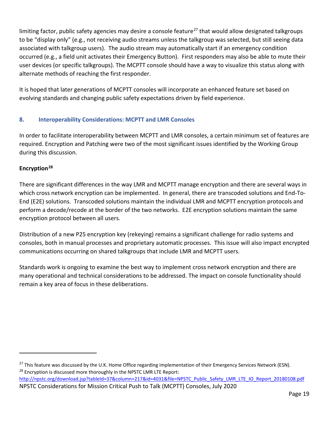limiting factor, public safety agencies may desire a console feature<sup>[27](#page-20-1)</sup> that would allow designated talkgroups to be "display only" (e.g., not receiving audio streams unless the talkgroup was selected, but still seeing data associated with talkgroup users). The audio stream may automatically start if an emergency condition occurred (e.g., a field unit activates their Emergency Button). First responders may also be able to mute their user devices (or specific talkgroups). The MCPTT console should have a way to visualize this status along with alternate methods of reaching the first responder.

It is hoped that later generations of MCPTT consoles will incorporate an enhanced feature set based on evolving standards and changing public safety expectations driven by field experience.

## <span id="page-20-0"></span>**8. Interoperability Considerations: MCPTT and LMR Consoles**

In order to facilitate interoperability between MCPTT and LMR consoles, a certain minimum set of features are required. Encryption and Patching were two of the most significant issues identified by the Working Group during this discussion.

## **Encryption[28](#page-20-2)**

There are significant differences in the way LMR and MCPTT manage encryption and there are several ways in which cross network encryption can be implemented. In general, there are transcoded solutions and End-To-End (E2E) solutions. Transcoded solutions maintain the individual LMR and MCPTT encryption protocols and perform a decode/recode at the border of the two networks. E2E encryption solutions maintain the same encryption protocol between all users.

Distribution of a new P25 encryption key (rekeying) remains a significant challenge for radio systems and consoles, both in manual processes and proprietary automatic processes. This issue will also impact encrypted communications occurring on shared talkgroups that include LMR and MCPTT users.

Standards work is ongoing to examine the best way to implement cross network encryption and there are many operational and technical considerations to be addressed. The impact on console functionality should remain a key area of focus in these deliberations.

<span id="page-20-2"></span><span id="page-20-1"></span><sup>&</sup>lt;sup>27</sup> This feature was discussed by the U.K. Home Office regarding implementation of their Emergency Services Network (ESN). <sup>28</sup> Encryption is discussed more thoroughly in the NPSTC LMR LTE Report:

NPSTC Considerations for Mission Critical Push to Talk (MCPTT) Consoles, July 2020 [http://npstc.org/download.jsp?tableId=37&column=217&id=4031&file=NPSTC\\_Public\\_Safety\\_LMR\\_LTE\\_IO\\_Report\\_20180108.pdf](http://npstc.org/download.jsp?tableId=37&column=217&id=4031&file=NPSTC_Public_Safety_LMR_LTE_IO_Report_20180108.pdf)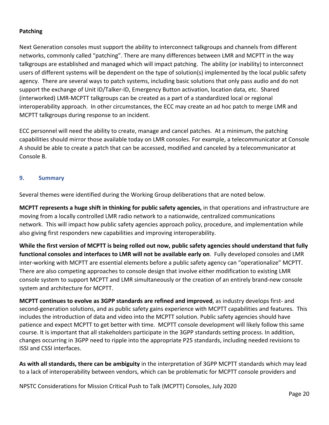#### **Patching**

Next Generation consoles must support the ability to interconnect talkgroups and channels from different networks, commonly called "patching". There are many differences between LMR and MCPTT in the way talkgroups are established and managed which will impact patching. The ability (or inability) to interconnect users of different systems will be dependent on the type of solution(s) implemented by the local public safety agency. There are several ways to patch systems, including basic solutions that only pass audio and do not support the exchange of Unit ID/Talker-ID, Emergency Button activation, location data, etc. Shared (interworked) LMR-MCPTT talkgroups can be created as a part of a standardized local or regional interoperability approach. In other circumstances, the ECC may create an ad hoc patch to merge LMR and MCPTT talkgroups during response to an incident.

ECC personnel will need the ability to create, manage and cancel patches. At a minimum, the patching capabilities should mirror those available today on LMR consoles. For example, a telecommunicator at Console A should be able to create a patch that can be accessed, modified and canceled by a telecommunicator at Console B.

#### <span id="page-21-0"></span>**9. Summary**

Several themes were identified during the Working Group deliberations that are noted below.

**MCPTT represents a huge shift in thinking for public safety agencies,** in that operations and infrastructure are moving from a locally controlled LMR radio network to a nationwide, centralized communications network. This will impact how public safety agencies approach policy, procedure, and implementation while also giving first responders new capabilities and improving interoperability.

**While the first version of MCPTT is being rolled out now, public safety agencies should understand that fully functional consoles and interfaces to LMR will not be available early on**. Fully developed consoles and LMR inter-working with MCPTT are essential elements before a public safety agency can "operationalize" MCPTT. There are also competing approaches to console design that involve either modification to existing LMR console system to support MCPTT and LMR simultaneously or the creation of an entirely brand-new console system and architecture for MCPTT.

**MCPTT continues to evolve as 3GPP standards are refined and improved**, as industry develops first- and second-generation solutions, and as public safety gains experience with MCPTT capabilities and features. This includes the introduction of data and video into the MCPTT solution. Public safety agencies should have patience and expect MCPTT to get better with time. MCPTT console development will likely follow this same course. It is important that all stakeholders participate in the 3GPP standards setting process. In addition, changes occurring in 3GPP need to ripple into the appropriate P25 standards, including needed revisions to ISSI and CSSI interfaces.

**As with all standards, there can be ambiguity** in the interpretation of 3GPP MCPTT standards which may lead to a lack of interoperability between vendors, which can be problematic for MCPTT console providers and

NPSTC Considerations for Mission Critical Push to Talk (MCPTT) Consoles, July 2020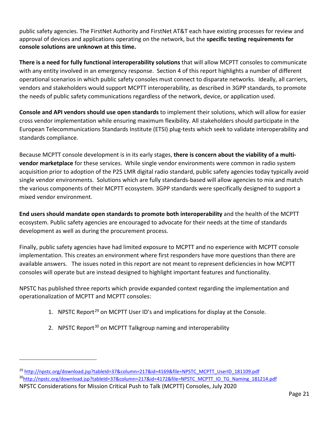public safety agencies. The FirstNet Authority and FirstNet AT&T each have existing processes for review and approval of devices and applications operating on the network, but the **specific testing requirements for console solutions are unknown at this time.** 

**There is a need for fully functional interoperability solutions** that will allow MCPTT consoles to communicate with any entity involved in an emergency response. Section 4 of this report highlights a number of different operational scenarios in which public safety consoles must connect to disparate networks. Ideally, all carriers, vendors and stakeholders would support MCPTT interoperability, as described in 3GPP standards, to promote the needs of public safety communications regardless of the network, device, or application used.

**Console and API vendors should use open standards** to implement their solutions, which will allow for easier cross vendor implementation while ensuring maximum flexibility. All stakeholders should participate in the European Telecommunications Standards Institute (ETSI) plug-tests which seek to validate interoperability and standards compliance.

Because MCPTT console development is in its early stages, **there is concern about the viability of a multivendor marketplace** for these services. While single vendor environments were common in radio system acquisition prior to adoption of the P25 LMR digital radio standard, public safety agencies today typically avoid single vendor environments. Solutions which are fully standards-based will allow agencies to mix and match the various components of their MCPTT ecosystem. 3GPP standards were specifically designed to support a mixed vendor environment.

**End users should mandate open standards to promote both interoperability** and the health of the MCPTT ecosystem. Public safety agencies are encouraged to advocate for their needs at the time of standards development as well as during the procurement process.

Finally, public safety agencies have had limited exposure to MCPTT and no experience with MCPTT console implementation. This creates an environment where first responders have more questions than there are available answers. The issues noted in this report are not meant to represent deficiencies in how MCPTT consoles will operate but are instead designed to highlight important features and functionality.

NPSTC has published three reports which provide expanded context regarding the implementation and operationalization of MCPTT and MCPTT consoles:

- 1. NPSTC Report<sup>[29](#page-22-0)</sup> on MCPTT User ID's and implications for display at the Console.
- 2. NPSTC Report<sup>[30](#page-22-1)</sup> on MCPTT Talkgroup naming and interoperability

<span id="page-22-1"></span><span id="page-22-0"></span><sup>&</sup>lt;sup>29</sup> [http://npstc.org/download.jsp?tableId=37&column=217&id=4169&file=NPSTC\\_MCPTT\\_UserID\\_181109.pdf](http://npstc.org/download.jsp?tableId=37&column=217&id=4169&file=NPSTC_MCPTT_UserID_181109.pdf) 3[0http://npstc.org/download.jsp?tableId=37&column=217&id=4172&file=NPSTC\\_MCPTT\\_IO\\_TG\\_Naming\\_181214.pdf](http://npstc.org/download.jsp?tableId=37&column=217&id=4172&file=NPSTC_MCPTT_IO_TG_Naming_181214.pdf)

NPSTC Considerations for Mission Critical Push to Talk (MCPTT) Consoles, July 2020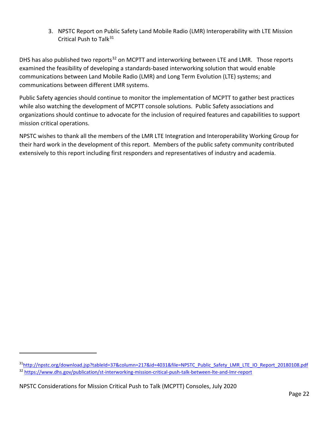3. NPSTC Report on Public Safety Land Mobile Radio (LMR) Interoperability with LTE Mission Critical Push to Talk<sup>[31](#page-23-0)</sup>

DHS has also published two reports<sup>[32](#page-23-1)</sup> on MCPTT and interworking between LTE and LMR. Those reports examined the feasibility of developing a standards-based interworking solution that would enable communications between Land Mobile Radio (LMR) and Long Term Evolution (LTE) systems; and communications between different LMR systems.

Public Safety agencies should continue to monitor the implementation of MCPTT to gather best practices while also watching the development of MCPTT console solutions. Public Safety associations and organizations should continue to advocate for the inclusion of required features and capabilities to support mission critical operations.

NPSTC wishes to thank all the members of the LMR LTE Integration and Interoperability Working Group for their hard work in the development of this report. Members of the public safety community contributed extensively to this report including first responders and representatives of industry and academia.

<span id="page-23-1"></span><span id="page-23-0"></span><sup>3</sup>[1http://npstc.org/download.jsp?tableId=37&column=217&id=4031&file=NPSTC\\_Public\\_Safety\\_LMR\\_LTE\\_IO\\_Report\\_20180108.pdf](http://npstc.org/download.jsp?tableId=37&column=217&id=4031&file=NPSTC_Public_Safety_LMR_LTE_IO_Report_20180108.pdf) <sup>32</sup> <https://www.dhs.gov/publication/st-interworking-mission-critical-push-talk-between-lte-and-lmr-report>

NPSTC Considerations for Mission Critical Push to Talk (MCPTT) Consoles, July 2020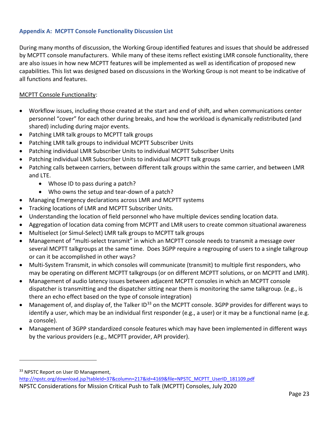#### <span id="page-24-0"></span>**Appendix A: MCPTT Console Functionality Discussion List**

During many months of discussion, the Working Group identified features and issues that should be addressed by MCPTT console manufacturers. While many of these items reflect existing LMR console functionality, there are also issues in how new MCPTT features will be implemented as well as identification of proposed new capabilities. This list was designed based on discussions in the Working Group is not meant to be indicative of all functions and features.

#### MCPTT Console Functionality:

- Workflow issues, including those created at the start and end of shift, and when communications center personnel "cover" for each other during breaks, and how the workload is dynamically redistributed (and shared) including during major events.
- Patching LMR talk groups to MCPTT talk groups
- Patching LMR talk groups to individual MCPTT Subscriber Units
- Patching individual LMR Subscriber Units to individual MCPTT Subscriber Units
- Patching individual LMR Subscriber Units to individual MCPTT talk groups
- Patching calls between carriers, between different talk groups within the same carrier, and between LMR and LTE.
	- Whose ID to pass during a patch?
	- Who owns the setup and tear-down of a patch?
- Managing Emergency declarations across LMR and MCPTT systems
- Tracking locations of LMR and MCPTT Subscriber Units.
- Understanding the location of field personnel who have multiple devices sending location data.
- Aggregation of location data coming from MCPTT and LMR users to create common situational awareness
- Multiselect (or Simul-Select) LMR talk groups to MCPTT talk groups
- Management of "multi-select transmit" in which an MCPTT console needs to transmit a message over several MCPTT talkgroups at the same time. Does 3GPP require a regrouping of users to a single talkgroup or can it be accomplished in other ways?
- Multi-System Transmit, in which consoles will communicate (transmit) to multiple first responders, who may be operating on different MCPTT talkgroups (or on different MCPTT solutions, or on MCPTT and LMR).
- Management of audio latency issues between adjacent MCPTT consoles in which an MCPTT console dispatcher is transmitting and the dispatcher sitting near them is monitoring the same talkgroup. (e.g., is there an echo effect based on the type of console integration)
- Management of, and display of, the Talker ID<sup>[33](#page-24-1)</sup> on the MCPTT console. 3GPP provides for different ways to identify a user, which may be an individual first responder (e.g., a user) or it may be a functional name (e.g. a console).
- Management of 3GPP standardized console features which may have been implemented in different ways by the various providers (e.g., MCPTT provider, API provider).

<span id="page-24-1"></span><sup>33</sup> NPSTC Report on User ID Management,

NPSTC Considerations for Mission Critical Push to Talk (MCPTT) Consoles, July 2020 [http://npstc.org/download.jsp?tableId=37&column=217&id=4169&file=NPSTC\\_MCPTT\\_UserID\\_181109.pdf](http://npstc.org/download.jsp?tableId=37&column=217&id=4169&file=NPSTC_MCPTT_UserID_181109.pdf)